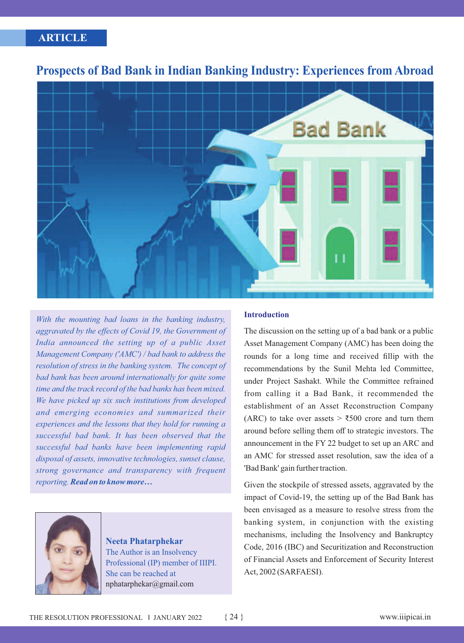# **ARTICLE CASE STUDY CASE STUDY CASE STUDY**



# **Prospects of Bad Bank in Indian Banking Industry: Experiences from Abroad**

*With the mounting bad loans in the banking industry, aggravated by the effects of Covid 19, the Government of India announced the setting up of a public Asset Management Company ('AMC') / bad bank to address the resolution of stress in the banking system. The concept of bad bank has been around internationally for quite some time and the track record of the bad banks has been mixed. We have picked up six such institutions from developed and emerging economies and summarized their experiences and the lessons that they hold for running a successful bad bank. It has been observed that the successful bad banks have been implementing rapid disposal of assets, innovative technologies, sunset clause, strong governance and transparency with frequent reporting. Read on to know more…*



**Neeta Phatarphekar** The Author is an Insolvency Professional (IP) member of IIIPI. She can be reached at nphatarphekar@gmail.com

## **Introduction**

The discussion on the setting up of a bad bank or a public Asset Management Company (AMC) has been doing the rounds for a long time and received fillip with the recommendations by the Sunil Mehta led Committee, under Project Sashakt. While the Committee refrained from calling it a Bad Bank, it recommended the establishment of an Asset Reconstruction Company (ARC) to take over assets  $>$  ₹500 crore and turn them around before selling them off to strategic investors. The announcement in the FY 22 budget to set up an ARC and an AMC for stressed asset resolution, saw the idea of a 'Bad Bank' gain further traction.

Given the stockpile of stressed assets, aggravated by the impact of Covid-19, the setting up of the Bad Bank has been envisaged as a measure to resolve stress from the banking system, in conjunction with the existing mechanisms, including the Insolvency and Bankruptcy Code, 2016 (IBC) and Securitization and Reconstruction of Financial Assets and Enforcement of Security Interest Act, 2002 (SARFAESI).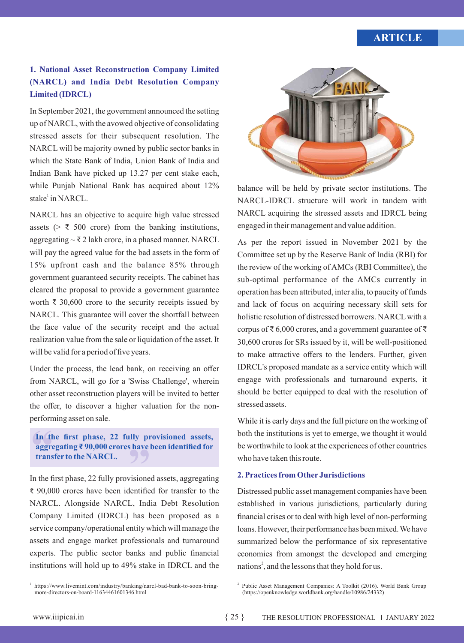# **CARTICLE**

## **1. National Asset Reconstruction Company Limited (NARCL) and India Debt Resolution Company Limited (IDRCL)**

In September 2021, the government announced the setting up of NARCL, with the avowed objective of consolidating stressed assets for their subsequent resolution. The NARCL will be majority owned by public sector banks in which the State Bank of India, Union Bank of India and Indian Bank have picked up 13.27 per cent stake each, while Punjab National Bank has acquired about 12% stake<sup>1</sup> in NARCL.

NARCL has an objective to acquire high value stressed assets ( $>$  ₹ 500 crore) from the banking institutions, aggregating  $\sim \bar{\tau}$  2 lakh crore, in a phased manner. NARCL will pay the agreed value for the bad assets in the form of 15% upfront cash and the balance 85% through government guaranteed security receipts. The cabinet has cleared the proposal to provide a government guarantee worth  $\bar{\tau}$  30,600 crore to the security receipts issued by NARCL. This guarantee will cover the shortfall between the face value of the security receipt and the actual realization value from the sale or liquidation of the asset. It will be valid for a period of five years.

Under the process, the lead bank, on receiving an offer from NARCL, will go for a 'Swiss Challenge', wherein other asset reconstruction players will be invited to better the offer, to discover a higher valuation for the nonperforming asset on sale.

### In the aggree trans **In the first phase, 22 fully pr ovisioned assets, " aggregating ₹ 90,000 crores have been identified for transfer to the NARCL.**

In the first phase, 22 fully provisioned assets, aggregating ₹ 90,000 crores have been identified for transfer to the NARCL. Alongside NARCL, India Debt Resolution Company Limited (IDRCL) has been proposed as a service company/operational entity which will manage the assets and engage market professionals and turnaround experts. The public sector banks and public financial institutions will hold up to 49% stake in IDRCL and the



balance will be held by private sector institutions. The NARCL-IDRCL structure will work in tandem with NARCL acquiring the stressed assets and IDRCL being engaged in their management and value addition.

As per the report issued in November 2021 by the Committee set up by the Reserve Bank of India (RBI) for the review of the working of AMCs (RBI Committee), the sub-optimal performance of the AMCs currently in operation has been attributed, inter alia, to paucity of funds and lack of focus on acquiring necessary skill sets for holistic resolution of distressed borrowers. NARCL with a corpus of ₹ 6,000 crores, and a government guarantee of ₹ 30,600 crores for SRs issued by it, will be well-positioned to make attractive offers to the lenders. Further, given IDRCL's proposed mandate as a service entity which will engage with professionals and turnaround experts, it should be better equipped to deal with the resolution of stressed assets.

While it is early days and the full picture on the working of both the institutions is yet to emerge, we thought it would be worthwhile to look at the experiences of other countries who have taken this route.

## **2. Practices from Other Jurisdictions**

Distressed public asset management companies have been established in various jurisdictions, particularly during financial crises or to deal with high level of non-performing loans. However, their performance has been mixed. We have summarized below the performance of six representative economies from amongst the developed and emerging nations<sup>2</sup>, and the lessons that they hold for us.

<sup>1</sup> https://www.livemint.com/industry/banking/narcl-bad-bank-to-soon-bringmore-directors-on-board-11634461601346.html

Public Asset Management Companies: A Toolkit (2016). World Bank Group (https://openknowledge.worldbank.org/handle/10986/24332)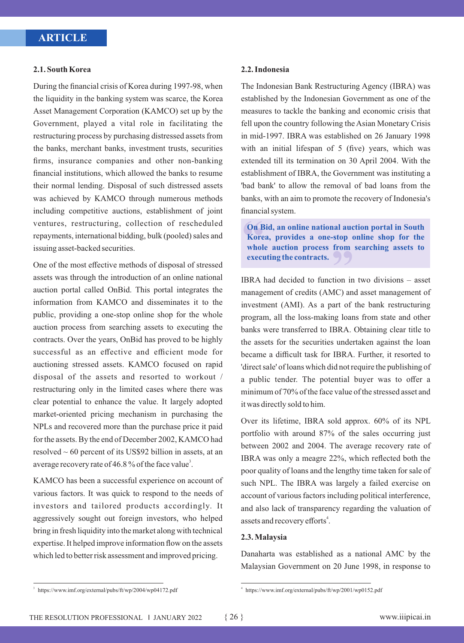#### **2.1. South Korea**

During the financial crisis of Korea during 1997-98, when the liquidity in the banking system was scarce, the Korea Asset Management Corporation (KAMCO) set up by the Government, played a vital role in facilitating the restructuring process by purchasing distressed assets from the banks, merchant banks, investment trusts, securities firms, insurance companies and other non-banking financial institutions, which allowed the banks to resume their normal lending. Disposal of such distressed assets was achieved by KAMCO through numerous methods including competitive auctions, establishment of joint ventures, restructuring, collection of rescheduled repayments, international bidding, bulk (pooled) sales and issuing asset-backed securities.

One of the most effective methods of disposal of stressed assets was through the introduction of an online national auction portal called OnBid. This portal integrates the information from KAMCO and disseminates it to the public, providing a one-stop online shop for the whole auction process from searching assets to executing the contracts. Over the years, OnBid has proved to be highly successful as an effective and efficient mode for auctioning stressed assets. KAMCO focused on rapid disposal of the assets and resorted to workout / restructuring only in the limited cases where there was clear potential to enhance the value. It largely adopted market-oriented pricing mechanism in purchasing the NPLs and recovered more than the purchase price it paid for the assets. By the end of December 2002, KAMCO had resolved ~ 60 percent of its US\$92 billion in assets, at an average recovery rate of 46.8 % of the face value<sup>3</sup>.

KAMCO has been a successful experience on account of various factors. It was quick to respond to the needs of investors and tailored products accordingly. It aggressively sought out foreign investors, who helped bring in fresh liquidity into the market along with technical expertise. It helped improve information flow on the assets which led to better risk assessment and improved pricing.

### **2.2. Indonesia**

The Indonesian Bank Restructuring Agency (IBRA) was established by the Indonesian Government as one of the measures to tackle the banking and economic crisis that fell upon the country following the Asian Monetary Crisis in mid-1997. IBRA was established on 26 January 1998 with an initial lifespan of 5 (five) years, which was extended till its termination on 30 April 2004. With the establishment of IBRA, the Government was instituting a 'bad bank' to allow the removal of bad loans from the banks, with an aim to promote the recovery of Indonesia's financial system.

**On B**<br>**Kore**<br>**whole**<br>**execu On Bid, an online national auction portal in South Korea, provides a one-stop online shop for the**  stop online<br>from search<br>**9** 9 **whole auction process from searching assets to executing the contracts.** 

IBRA had decided to function in two divisions – asset management of credits (AMC) and asset management of investment (AMI). As a part of the bank restructuring program, all the loss-making loans from state and other banks were transferred to IBRA. Obtaining clear title to the assets for the securities undertaken against the loan became a difficult task for IBRA. Further, it resorted to 'direct sale' of loans which did not require the publishing of a public tender. The potential buyer was to offer a minimum of 70% of the face value of the stressed asset and it was directly sold to him.

Over its lifetime, IBRA sold approx. 60% of its NPL portfolio with around 87% of the sales occurring just between 2002 and 2004. The average recovery rate of IBRA was only a meagre 22%, which reflected both the poor quality of loans and the lengthy time taken for sale of such NPL. The IBRA was largely a failed exercise on account of various factors including political interference, and also lack of transparency regarding the valuation of assets and recovery efforts<sup>4</sup>.

#### **2.3. Malaysia**

Danaharta was established as a national AMC by the Malaysian Government on 20 June 1998, in response to

 $3$  https://www.imf.org/external/pubs/ft/wp/2004/wp04172.pdf

https://www.imf.org/external/pubs/ft/wp/2001/wp0152.pdf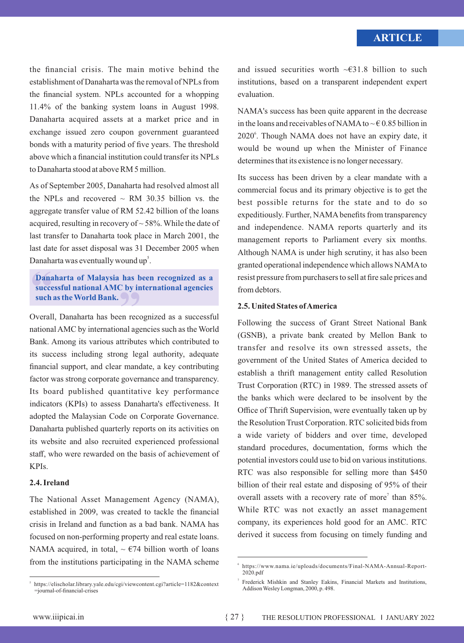the financial crisis. The main motive behind the establishment of Danaharta was the removal of NPLs from the financial system. NPLs accounted for a whopping 11.4% of the banking system loans in August 1998. Danaharta acquired assets at a market price and in exchange issued zero coupon government guaranteed bonds with a maturity period of five years. The threshold above which a financial institution could transfer its NPLs to Danaharta stood at above RM 5 million.

As of September 2005, Danaharta had resolved almost all the NPLs and recovered  $\sim$  RM 30.35 billion vs. the aggregate transfer value of RM 52.42 billion of the loans acquired, resulting in recovery of  $\sim$  58%. While the date of last transfer to Danaharta took place in March 2001, the last date for asset disposal was 31 December 2005 when Danaharta was eventually wound  $up<sup>5</sup>$ .

### Dana<br>succe<br>such **Danaharta of Malaysia has been recognized as a**  nas been re<br>
by internat<br> **(b) successful national AMC by international agencies such as the World Bank.**

Overall, Danaharta has been recognized as a successful national AMC by international agencies such as the World Bank. Among its various attributes which contributed to its success including strong legal authority, adequate financial support, and clear mandate, a key contributing factor was strong corporate governance and transparency. Its board published quantitative key performance indicators (KPIs) to assess Danaharta's effectiveness. It adopted the Malaysian Code on Corporate Governance. Danaharta published quarterly reports on its activities on its website and also recruited experienced professional staff, who were rewarded on the basis of achievement of KPIs.

## **2.4. Ireland**

5

The National Asset Management Agency (NAMA), established in 2009, was created to tackle the financial crisis in Ireland and function as a bad bank. NAMA has focused on non-performing property and real estate loans. NAMA acquired, in total,  $\sim$   $674$  billion worth of loans from the institutions participating in the NAMA scheme NAMA's success has been quite apparent in the decrease in the loans and receivables of NAMA to  $\sim \epsilon$  0.85 billion in 2020<sup>6</sup>. Though NAMA does not have an expiry date, it would be wound up when the Minister of Finance determines that its existence is no longer necessary.

Its success has been driven by a clear mandate with a commercial focus and its primary objective is to get the best possible returns for the state and to do so expeditiously. Further, NAMAbenefits from transparency and independence. NAMA reports quarterly and its management reports to Parliament every six months. Although NAMA is under high scrutiny, it has also been granted operational independence which allows NAMAto resist pressure from purchasers to sell at fire sale prices and from debtors.

## **2.5. United States of America**

Following the success of Grant Street National Bank (GSNB), a private bank created by Mellon Bank to transfer and resolve its own stressed assets, the government of the United States of America decided to establish a thrift management entity called Resolution Trust Corporation (RTC) in 1989. The stressed assets of the banks which were declared to be insolvent by the Office of Thrift Supervision, were eventually taken up by the Resolution Trust Corporation. RTC solicited bids from a wide variety of bidders and over time, developed standard procedures, documentation, forms which the potential investors could use to bid on various institutions. RTC was also responsible for selling more than \$450 billion of their real estate and disposing of 95% of their overall assets with a recovery rate of more<sup>7</sup> than 85%. While RTC was not exactly an asset management company, its experiences hold good for an AMC. RTC derived it success from focusing on timely funding and

and issued securities worth  $\sim \epsilon$ 31.8 billion to such institutions, based on a transparent independent expert evaluation.

<sup>6</sup> https://www.nama.ie/uploads/documents/Final-NAMA-Annual-Report-2020.pdf

<sup>7</sup> Frederick Mishkin and Stanley Eakins, Financial Markets and Institutions, Addison Wesley Longman, 2000, p. 498.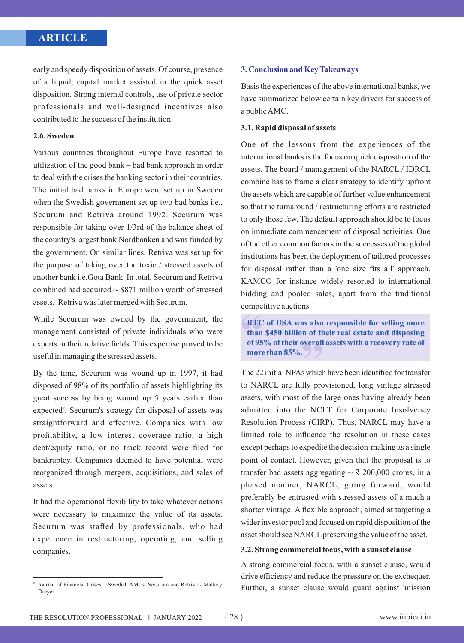# **ARTICLE CASE STUDY CASE STUDY CASE STUDY**

early and speedy disposition of assets. Of course, presence of a liquid, capital market assisted in the quick asset disposition. Strong internal controls, use of private sector professionals and well-designed incentives also contributed to the success of the institution.

## **2.6. Sweden**

Various countries throughout Europe have resorted to utilization of the good bank – bad bank approach in order to deal with the crises the banking sector in their countries. The initial bad banks in Europe were set up in Sweden when the Swedish government set up two bad banks i.e., Securum and Retriva around 1992. Securum was responsible for taking over 1/3rd of the balance sheet of the country's largest bank Nordbanken and was funded by the government. On similar lines, Retriva was set up for the purpose of taking over the toxic / stressed assets of another bank i.e.Gota Bank. In total, Securum and Retriva combined had acquired  $\sim$  \$871 million worth of stressed assets. Retriva was later merged with Securum.

While Securum was owned by the government, the management consisted of private individuals who were experts in their relative fields. This expertise proved to be useful in managing the stressed assets.

By the time, Securum was wound up in 1997, it had disposed of 98% of its portfolio of assets highlighting its great success by being wound up 5 years earlier than expected<sup>8</sup>. Securum's strategy for disposal of assets was straightforward and effective. Companies with low profitability, a low interest coverage ratio, a high debt/equity ratio, or no track record were filed for bankruptcy. Companies deemed to have potential were reorganized through mergers, acquisitions, and sales of assets.

It had the operational flexibility to take whatever actions were necessary to maximize the value of its assets. Securum was staffed by professionals, who had experience in restructuring, operating, and selling companies.

## **3. Conclusion and Key Takeaways**

Basis the experiences of the above international banks, we have summarized below certain key drivers for success of a public AMC.

### **3.1. Rapid disposal of assets**

One of the lessons from the experiences of the international banks is the focus on quick disposition of the assets. The board / management of the NARCL / IDRCL combine has to frame a clear strategy to identify upfront the assets which are capable of further value enhancement so that the turnaround / restructuring efforts are restricted to only those few. The default approach should be to focus on immediate commencement of disposal activities. One of the other common factors in the successes of the global institutions has been the deployment of tailored processes for disposal rather than a 'one size fits all' approach. KAMCO for instance widely resorted to international bidding and pooled sales, apart from the traditional competitive auctions.

**RTC of USA wa<br>
than \$450 billion<br>
of 95% of their of<br>
more than 85%. RTC of USA was also responsible for selling more n** of their read<br> **y**<br> **y**<br> **y**<br> **y than \$450 billion of their real estate and disposing of 95% of their overall assets with a recovery rate of** 

The 22 initial NPAs which have been identified for transfer to NARCL are fully provisioned, long vintage stressed assets, with most of the large ones having already been admitted into the NCLT for Corporate Insolvency Resolution Process (CIRP). Thus, NARCL may have a limited role to influence the resolution in these cases except perhaps to expedite the decision-making as a single point of contact. However, given that the proposal is to transfer bad assets aggregating  $\sim \xi$  200,000 crores, in a phased manner, NARCL, going forward, would preferably be entrusted with stressed assets of a much a shorter vintage. A flexible approach, aimed at targeting a wider investor pool and focused on rapid disposition of the asset should see NARCL preserving the value of the asset.

### **3.2. Strong commercial focus, with a sunset clause**

A strong commercial focus, with a sunset clause, would drive efficiency and reduce the pressure on the exchequer. Further, a sunset clause would guard against 'mission

<sup>8</sup> Journal of Financial Crises – Swedish AMCs: Securum and Retriva - Mallory Dreyer